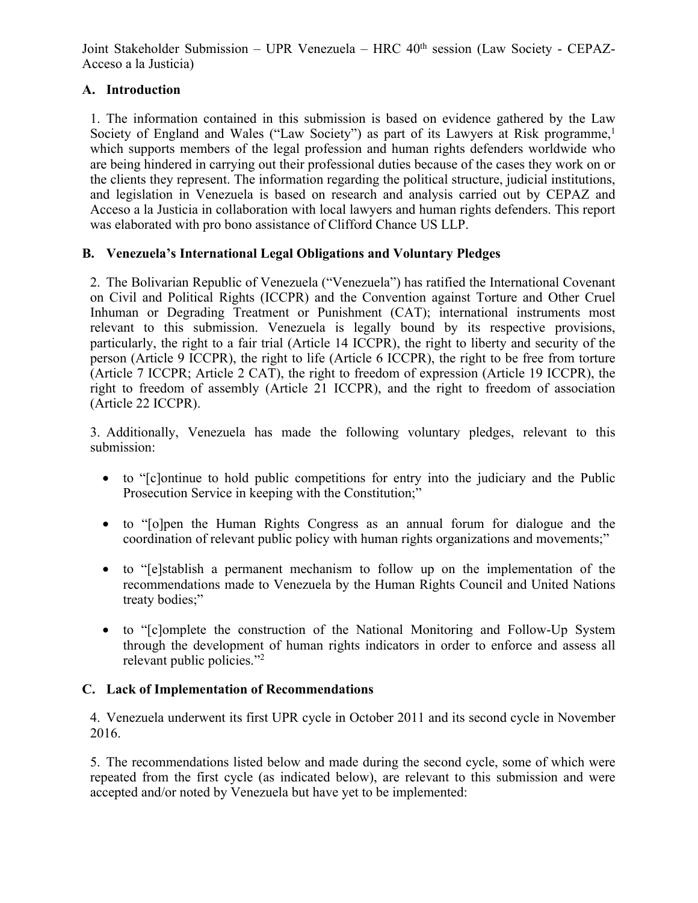Joint Stakeholder Submission – UPR Venezuela – HRC 40<sup>th</sup> session (Law Society - CEPAZ-Acceso <sup>a</sup> la Justicia)

# **A. Introduction**

1. The information contained in this submission is based on evidence gathered by the Law Society of England and Wales ("Law Society") as par<sup>t</sup> of its Lawyers at Risk programme, 1 which supports members of the legal profession and human rights defenders worldwide who are being hindered in carrying out their professional duties because of the cases they work on or the clients they represent. The information regarding the political structure, judicial institutions, and legislation in Venezuela is based on research and analysis carried out by CEPAZ and Acceso <sup>a</sup> la Justicia in collaboration with local lawyers and human rights defenders. This repor<sup>t</sup> was elaborated with pro bono assistance of Clifford Chance US LLP.

# **B. Venezuela'<sup>s</sup> International Legal Obligations and Voluntary Pledges**

2. The Bolivarian Republic of Venezuela ("Venezuela") has ratified the International Covenant on Civil and Political Rights (ICCPR) and the Convention against Torture and Other Cruel Inhuman or Degrading Treatment or Punishment (CAT); international instruments most relevant to this submission. Venezuela is legally bound by its respective provisions, particularly, the right to <sup>a</sup> fair trial (Article 14 ICCPR), the right to liberty and security of the person (Article 9 ICCPR), the right to life (Article 6 ICCPR), the right to be free from torture (Article 7 ICCPR; Article 2 CAT), the right to freedom of expression (Article 19 ICCPR), the right to freedom of assembly (Article 21 ICCPR), and the right to freedom of association (Article 22 ICCPR).

3. Additionally, Venezuela has made the following voluntary pledges, relevant to this submission:

- to "[c]ontinue to hold public competitions for entry into the judiciary and the Public Prosecution Service in keeping with the Constitution;"
- to "[o]pen the Human Rights Congress as an annual forum for dialogue and the coordination of relevant public policy with human rights organizations and movements;"
- to "[e]stablish <sup>a</sup> permanen<sup>t</sup> mechanism to follow up on the implementation of the recommendations made to Venezuela by the Human Rights Council and United Nations treaty bodies;"
- to "[c]omplete the construction of the National Monitoring and Follow-Up System through the development of human rights indicators in order to enforce and assess all relevant public policies."<sup>2</sup>

# **C. Lack of Implementation of Recommendations**

4. Venezuela underwent its first UPR cycle in October 2011 and its second cycle in November 2016.

5. The recommendations listed below and made during the second cycle, some of which were repeated from the first cycle (as indicated below), are relevant to this submission and were accepted and/or noted by Venezuela but have ye<sup>t</sup> to be implemented: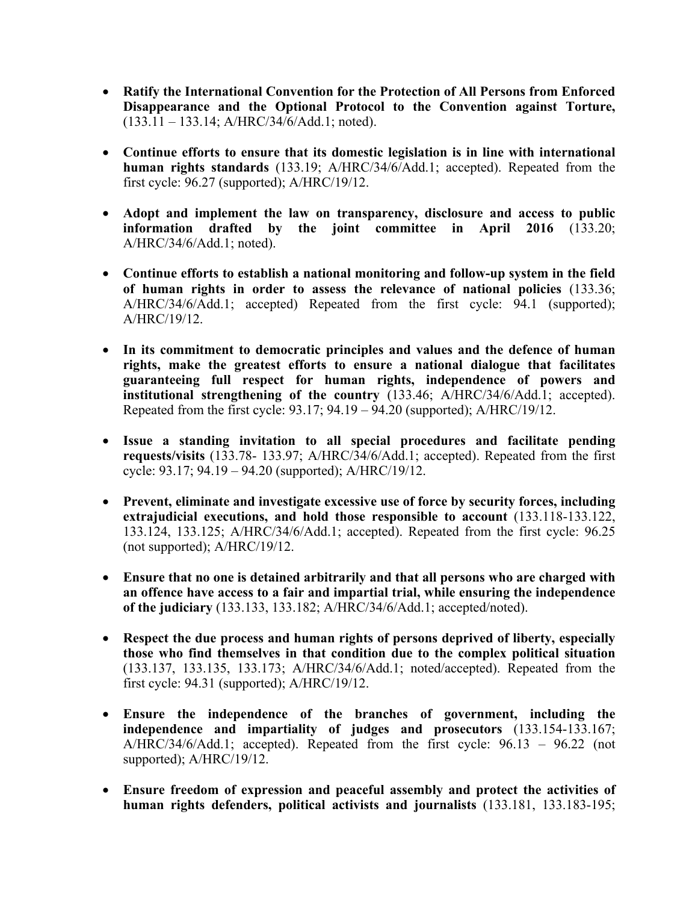- **Ratify the International Convention for the Protection of All Persons from Enforced Disappearance and the Optional Protocol to the Convention against Torture,** (133.11 – 133.14; A/HRC/34/6/Add.1; noted).
- **Continue efforts to ensure that its domestic legislation is in line with international human rights standards** (133.19; A/HRC/34/6/Add.1; accepted). Repeated from the first cycle: 96.27 (supported); A/HRC/19/12.
- **Adopt and implement the law on transparency, disclosure and access to public information drafted by the joint committee in April 2016** (133.20; A/HRC/34/6/Add.1; noted).
- **Continue efforts to establish <sup>a</sup> national monitoring and follow-up system in the field of human rights in order to assess the relevance of national policies** (133.36; A/HRC/34/6/Add.1; accepted) Repeated from the first cycle: 94.1 (supported); A/HRC/19/12.
- **In its commitment to democratic principles and values and the defence of human rights, make the greatest efforts to ensure <sup>a</sup> national dialogue that facilitates guaranteeing full respect for human rights, independence of powers and institutional strengthening of the country** (133.46; A/HRC/34/6/Add.1; accepted). Repeated from the first cycle: 93.17; 94.19 – 94.20 (supported); A/HRC/19/12.
- **Issue <sup>a</sup> standing invitation to all special procedures and facilitate pending requests/visits** (133.78- 133.97; A/HRC/34/6/Add.1; accepted). Repeated from the first cycle: 93.17; 94.19 – 94.20 (supported); A/HRC/19/12.
- **Prevent, eliminate and investigate excessive use of force by security forces, including extrajudicial executions, and hold those responsible to account** (133.118-133.122, 133.124, 133.125; A/HRC/34/6/Add.1; accepted). Repeated from the first cycle: 96.25 (not supported); A/HRC/19/12.
- **Ensure that no one is detained arbitrarily and that all persons who are charged with an offence have access to <sup>a</sup> fair and impartial trial, while ensuring the independence of the judiciary** (133.133, 133.182; A/HRC/34/6/Add.1; accepted/noted).
- **Respect the due process and human rights of persons deprived of liberty, especially those who find themselves in that condition due to the complex political situation** (133.137, 133.135, 133.173; A/HRC/34/6/Add.1; noted/accepted). Repeated from the first cycle: 94.31 (supported); A/HRC/19/12.
- **Ensure the independence of the branches of government, including the independence and impartiality of judges and prosecutors** (133.154-133.167; A/HRC/34/6/Add.1; accepted). Repeated from the first cycle: 96.13 – 96.22 (not supported); A/HRC/19/12.
- **Ensure freedom of expression and peaceful assembly and protect the activities of human rights defenders, political activists and journalists** (133.181, 133.183-195;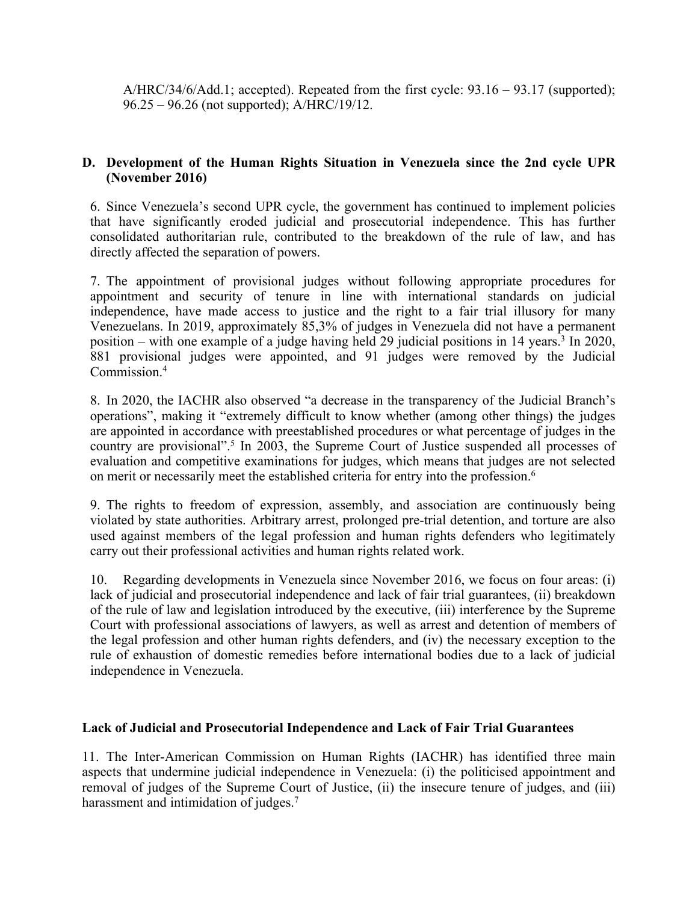$A/HRC/34/6/Add.1$ ; accepted). Repeated from the first cycle:  $93.16 - 93.17$  (supported); 96.25 – 96.26 (not supported); A/HRC/19/12.

## **D. Development of the Human Rights Situation in Venezuela since the 2nd cycle UPR (November 2016)**

6. Since Venezuela'<sup>s</sup> second UPR cycle, the governmen<sup>t</sup> has continued to implement policies that have significantly eroded judicial and prosecutorial independence. This has further consolidated authoritarian rule, contributed to the breakdown of the rule of law, and has directly affected the separation of powers.

7. The appointment of provisional judges without following appropriate procedures for appointment and security of tenure in line with international standards on judicial independence, have made access to justice and the right to <sup>a</sup> fair trial illusory for many Venezuelans. In 2019, approximately 85,3% of judges in Venezuela did not have <sup>a</sup> permanen<sup>t</sup> position – with one example of <sup>a</sup> judge having held 29 judicial positions in 14 years. 3 In 2020, 881 provisional judges were appointed, and 91 judges were removed by the Judicial Commission. 4

8. In 2020, the IACHR also observed "<sup>a</sup> decrease in the transparency of the Judicial Branch'<sup>s</sup> operations", making it "extremely difficult to know whether (among other things) the judges are appointed in accordance with preestablished procedures or what percentage of judges in the country are provisional". 5 In 2003, the Supreme Court of Justice suspended all processes of evaluation and competitive examinations for judges, which means that judges are not selected on merit or necessarily meet the established criteria for entry into the profession. 6

9. The rights to freedom of expression, assembly, and association are continuously being violated by state authorities. Arbitrary arrest, prolonged pre-trial detention, and torture are also used against members of the legal profession and human rights defenders who legitimately carry out their professional activities and human rights related work.

10. Regarding developments in Venezuela since November 2016, we focus on four areas: (i) lack of judicial and prosecutorial independence and lack of fair trial guarantees, (ii) breakdown of the rule of law and legislation introduced by the executive, (iii) interference by the Supreme Court with professional associations of lawyers, as well as arrest and detention of members of the legal profession and other human rights defenders, and (iv) the necessary exception to the rule of exhaustion of domestic remedies before international bodies due to <sup>a</sup> lack of judicial independence in Venezuela.

#### **Lack of Judicial and Prosecutorial Independence and Lack of Fair Trial Guarantees**

11. The Inter-American Commission on Human Rights (IACHR) has identified three main aspects that undermine judicial independence in Venezuela: (i) the politicised appointment and removal of judges of the Supreme Court of Justice, (ii) the insecure tenure of judges, and (iii) harassment and intimidation of judges. 7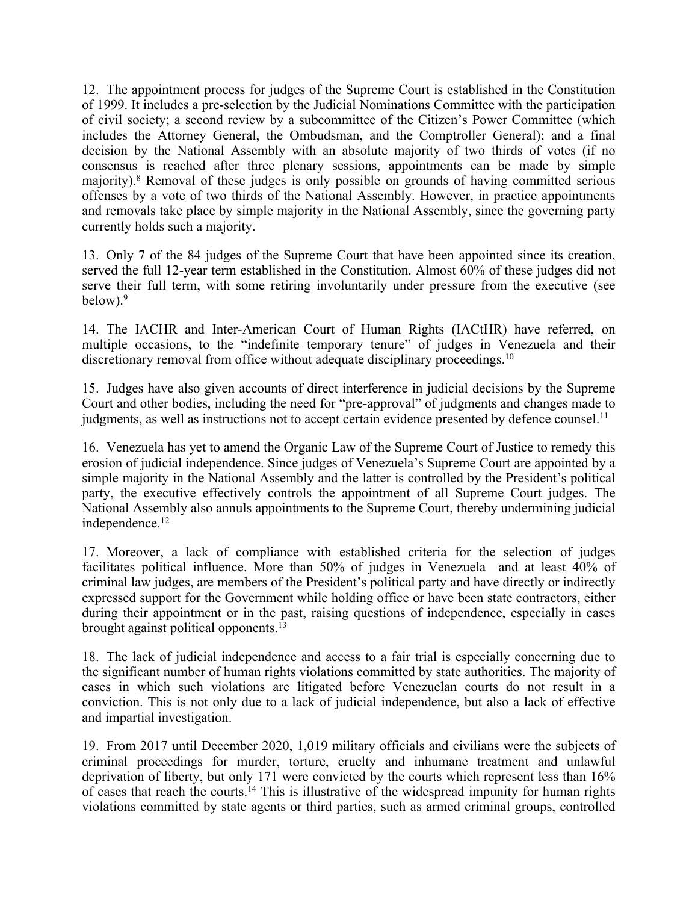12. The appointment process for judges of the Supreme Court is established in the Constitution of 1999. It includes <sup>a</sup> pre-selection by the Judicial Nominations Committee with the participation of civil society; <sup>a</sup> second review by <sup>a</sup> subcommittee of the Citizen'<sup>s</sup> Power Committee (which includes the Attorney General, the Ombudsman, and the Comptroller General); and <sup>a</sup> final decision by the National Assembly with an absolute majority of two thirds of votes (if no consensus is reached after three plenary sessions, appointments can be made by simple majority). <sup>8</sup> Removal of these judges is only possible on grounds of having committed serious offenses by <sup>a</sup> vote of two thirds of the National Assembly. However, in practice appointments and removals take place by simple majority in the National Assembly, since the governing party currently holds such <sup>a</sup> majority.

13. Only 7 of the 84 judges of the Supreme Court that have been appointed since its creation, served the full 12-year term established in the Constitution. Almost 60% of these judges did not serve their full term, with some retiring involuntarily under pressure from the executive (see below). 9

14. The IACHR and Inter-American Court of Human Rights (IACtHR) have referred, on multiple occasions, to the "indefinite temporary tenure" of judges in Venezuela and their discretionary removal from office without adequate disciplinary proceedings.<sup>10</sup>

15. Judges have also given accounts of direct interference in judicial decisions by the Supreme Court and other bodies, including the need for "pre-approval" of judgments and changes made to judgments, as well as instructions not to accept certain evidence presented by defence counsel.<sup>11</sup>

16. Venezuela has ye<sup>t</sup> to amend the Organic Law of the Supreme Court of Justice to remedy this erosion of judicial independence. Since judges of Venezuela'<sup>s</sup> Supreme Court are appointed by <sup>a</sup> simple majority in the National Assembly and the latter is controlled by the President'<sup>s</sup> political party, the executive effectively controls the appointment of all Supreme Court judges. The National Assembly also annuls appointments to the Supreme Court, thereby undermining judicial independence. 12

17. Moreover, <sup>a</sup> lack of compliance with established criteria for the selection of judges facilitates political influence. More than 50% of judges in Venezuela and at least 40% of criminal law judges, are members of the President'<sup>s</sup> political party and have directly or indirectly expressed suppor<sup>t</sup> for the Government while holding office or have been state contractors, either during their appointment or in the past, raising questions of independence, especially in cases brought against political opponents. 13

18. The lack of judicial independence and access to <sup>a</sup> fair trial is especially concerning due to the significant number of human rights violations committed by state authorities. The majority of cases in which such violations are litigated before Venezuelan courts do not result in <sup>a</sup> conviction. This is not only due to <sup>a</sup> lack of judicial independence, but also <sup>a</sup> lack of effective and impartial investigation.

19. From 2017 until December 2020, 1,019 military officials and civilians were the subjects of criminal proceedings for murder, torture, cruelty and inhumane treatment and unlawful deprivation of liberty, but only 171 were convicted by the courts which represen<sup>t</sup> less than 16% of cases that reach the courts.<sup>14</sup> This is illustrative of the widespread impunity for human rights violations committed by state agents or third parties, such as armed criminal groups, controlled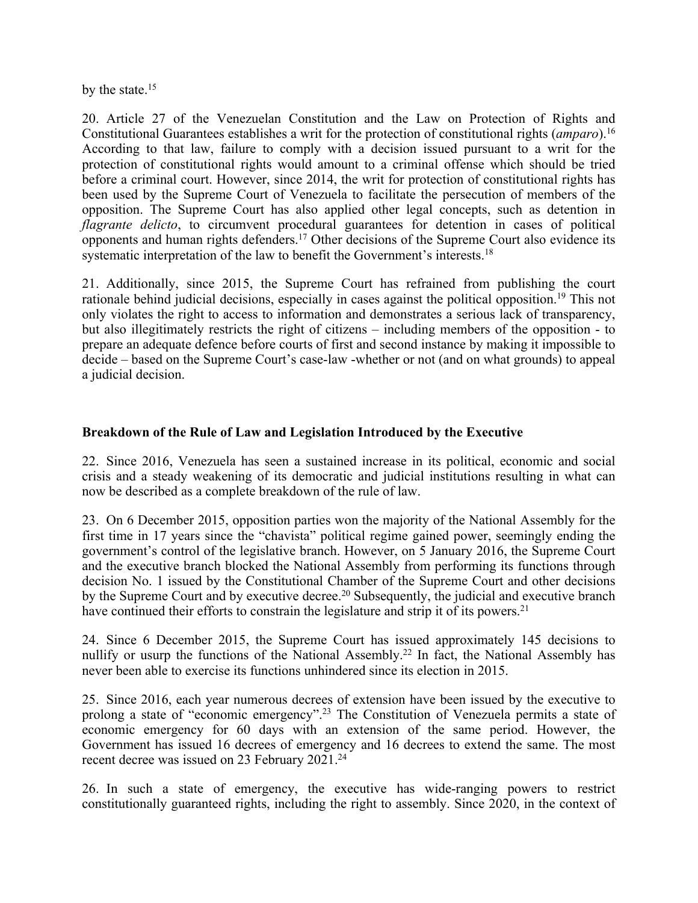by the state.<sup>15</sup>

20. Article 27 of the Venezuelan Constitution and the Law on Protection of Rights and Constitutional Guarantees establishes <sup>a</sup> writ for the protection of constitutional rights (*amparo*). 16 According to that law, failure to comply with <sup>a</sup> decision issued pursuan<sup>t</sup> to <sup>a</sup> writ for the protection of constitutional rights would amount to <sup>a</sup> criminal offense which should be tried before <sup>a</sup> criminal court. However, since 2014, the writ for protection of constitutional rights has been used by the Supreme Court of Venezuela to facilitate the persecution of members of the opposition. The Supreme Court has also applied other legal concepts, such as detention in *flagrante delicto*, to circumvent procedural guarantees for detention in cases of political opponents and human rights defenders. <sup>17</sup> Other decisions of the Supreme Court also evidence its systematic interpretation of the law to benefit the Government's interests.<sup>18</sup>

21. Additionally, since 2015, the Supreme Court has refrained from publishing the court rationale behind judicial decisions, especially in cases against the political opposition. 19 This not only violates the right to access to information and demonstrates <sup>a</sup> serious lack of transparency, but also illegitimately restricts the right of citizens – including members of the opposition - to prepare an adequate defence before courts of first and second instance by making it impossible to decide – based on the Supreme Court'<sup>s</sup> case-law -whether or not (and on what grounds) to appeal <sup>a</sup> judicial decision.

### **Breakdown of the Rule of Law and Legislation Introduced by the Executive**

22. Since 2016, Venezuela has seen <sup>a</sup> sustained increase in its political, economic and social crisis and <sup>a</sup> steady weakening of its democratic and judicial institutions resulting in what can now be described as <sup>a</sup> complete breakdown of the rule of law.

23. On 6 December 2015, opposition parties won the majority of the National Assembly for the first time in 17 years since the "chavista" political regime gained power, seemingly ending the government'<sup>s</sup> control of the legislative branch. However, on 5 January 2016, the Supreme Court and the executive branch blocked the National Assembly from performing its functions through decision No. 1 issued by the Constitutional Chamber of the Supreme Court and other decisions by the Supreme Court and by executive decree. 20 Subsequently, the judicial and executive branch have continued their efforts to constrain the legislature and strip it of its powers.<sup>21</sup>

24. Since 6 December 2015, the Supreme Court has issued approximately 145 decisions to nullify or usurp the functions of the National Assembly. 22 In fact, the National Assembly has never been able to exercise its functions unhindered since its election in 2015.

25. Since 2016, each year numerous decrees of extension have been issued by the executive to prolong <sup>a</sup> state of "economic emergency". 23 The Constitution of Venezuela permits <sup>a</sup> state of economic emergency for 60 days with an extension of the same period. However, the Government has issued 16 decrees of emergency and 16 decrees to extend the same. The most recent decree was issued on 23 February 2021. 24

26. In such <sup>a</sup> state of emergency, the executive has wide-ranging powers to restrict constitutionally guaranteed rights, including the right to assembly. Since 2020, in the context of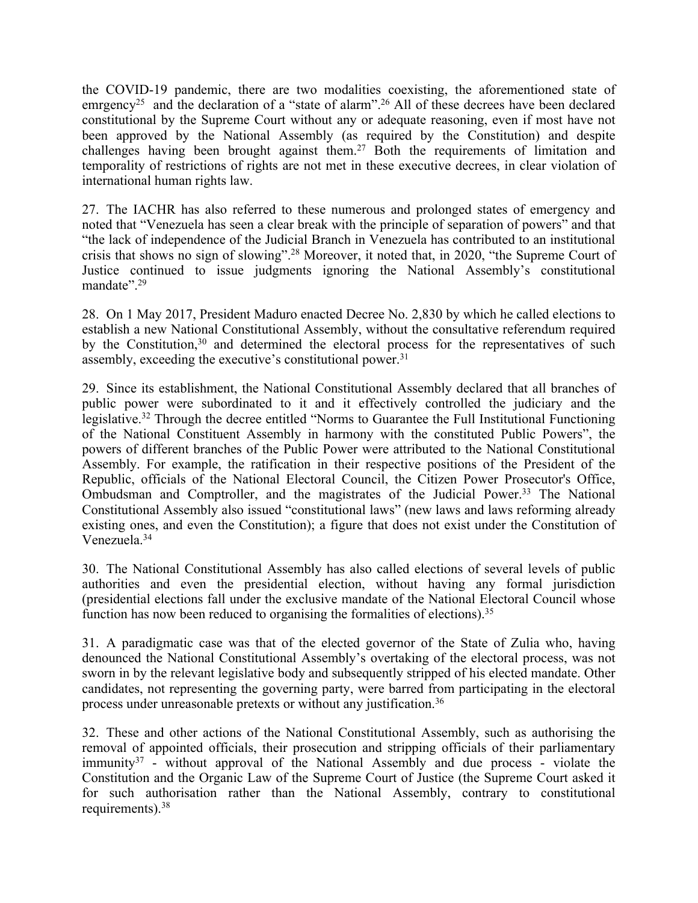the COVID-19 pandemic, there are two modalities coexisting, the aforementioned state of emrgency<sup>25</sup> and the declaration of a "state of alarm".<sup>26</sup> All of these decrees have been declared constitutional by the Supreme Court without any or adequate reasoning, even if most have not been approved by the National Assembly (as required by the Constitution) and despite challenges having been brought against them. <sup>27</sup> Both the requirements of limitation and temporality of restrictions of rights are not met in these executive decrees, in clear violation of international human rights law.

27. The IACHR has also referred to these numerous and prolonged states of emergency and noted that "Venezuela has seen <sup>a</sup> clear break with the principle of separation of powers" and that "the lack of independence of the Judicial Branch in Venezuela has contributed to an institutional crisis that shows no sign of slowing". <sup>28</sup> Moreover, it noted that, in 2020, "the Supreme Court of Justice continued to issue judgments ignoring the National Assembly'<sup>s</sup> constitutional mandate".<sup>29</sup>

28. On 1 May 2017, President Maduro enacted Decree No. 2,830 by which he called elections to establish <sup>a</sup> new National Constitutional Assembly, without the consultative referendum required by the Constitution, 30 and determined the electoral process for the representatives of such assembly, exceeding the executive's constitutional power.<sup>31</sup>

29. Since its establishment, the National Constitutional Assembly declared that all branches of public power were subordinated to it and it effectively controlled the judiciary and the legislative.<sup>32</sup> Through the decree entitled "Norms to Guarantee the Full Institutional Functioning of the National Constituent Assembly in harmony with the constituted Public Powers", the powers of different branches of the Public Power were attributed to the National Constitutional Assembly. For example, the ratification in their respective positions of the President of the Republic, officials of the National Electoral Council, the Citizen Power Prosecutor's Office, Ombudsman and Comptroller, and the magistrates of the Judicial Power.<sup>33</sup> The National Constitutional Assembly also issued "constitutional laws" (new laws and laws reforming already existing ones, and even the Constitution); <sup>a</sup> figure that does not exist under the Constitution of Venezuela. 34

30. The National Constitutional Assembly has also called elections of several levels of public authorities and even the presidential election, without having any formal jurisdiction (presidential elections fall under the exclusive mandate of the National Electoral Council whose function has now been reduced to organising the formalities of elections).<sup>35</sup>

31. A paradigmatic case was that of the elected governor of the State of Zulia who, having denounced the National Constitutional Assembly'<sup>s</sup> overtaking of the electoral process, was not sworn in by the relevant legislative body and subsequently stripped of his elected mandate. Other candidates, not representing the governing party, were barred from participating in the electoral process under unreasonable pretexts or without any justification. 36

32. These and other actions of the National Constitutional Assembly, such as authorising the removal of appointed officials, their prosecution and stripping officials of their parliamentary immunity<sup>37</sup> - without approval of the National Assembly and due process - violate the Constitution and the Organic Law of the Supreme Court of Justice (the Supreme Court asked it for such authorisation rather than the National Assembly, contrary to constitutional requirements). 38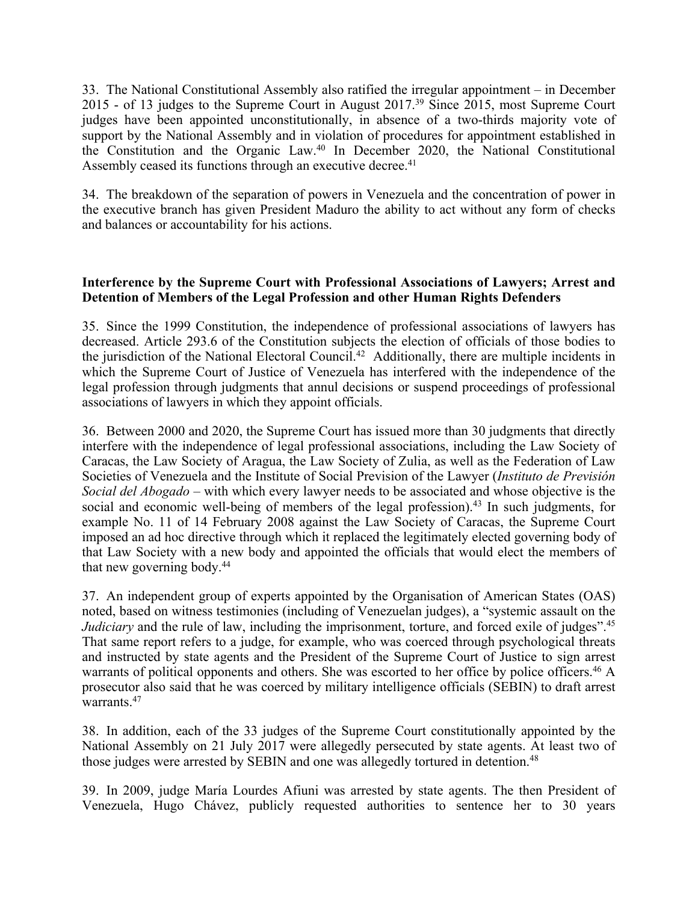33. The National Constitutional Assembly also ratified the irregular appointment – in December 2015 - of 13 judges to the Supreme Court in August 2017. 39 Since 2015, most Supreme Court judges have been appointed unconstitutionally, in absence of <sup>a</sup> two-thirds majority vote of suppor<sup>t</sup> by the National Assembly and in violation of procedures for appointment established in the Constitution and the Organic Law. 40 In December 2020, the National Constitutional Assembly ceased its functions through an executive decree. 41

34. The breakdown of the separation of powers in Venezuela and the concentration of power in the executive branch has given President Maduro the ability to act without any form of checks and balances or accountability for his actions.

### **Interference by the Supreme Court with Professional Associations of Lawyers; Arrest and Detention of Members of the Legal Profession and other Human Rights Defenders**

35. Since the 1999 Constitution, the independence of professional associations of lawyers has decreased. Article 293.6 of the Constitution subjects the election of officials of those bodies to the jurisdiction of the National Electoral Council.<sup>42</sup> Additionally, there are multiple incidents in which the Supreme Court of Justice of Venezuela has interfered with the independence of the legal profession through judgments that annul decisions or suspend proceedings of professional associations of lawyers in which they appoint officials.

36. Between 2000 and 2020, the Supreme Court has issued more than 30 judgments that directly interfere with the independence of legal professional associations, including the Law Society of Caracas, the Law Society of Aragua, the Law Society of Zulia, as well as the Federation of Law Societies of Venezuela and the Institute of Social Prevision of the Lawyer (*Instituto de Previsión Social del Abogado –* with which every lawyer needs to be associated and whose objective is the social and economic well-being of members of the legal profession).<sup>43</sup> In such judgments, for example No. 11 of 14 February 2008 against the Law Society of Caracas, the Supreme Court imposed an ad hoc directive through which it replaced the legitimately elected governing body of that Law Society with <sup>a</sup> new body and appointed the officials that would elect the members of that new governing body. 44

37. An independent group of experts appointed by the Organisation of American States (OAS) noted, based on witness testimonies (including of Venezuelan judges), <sup>a</sup> "systemic assault on the *Judiciary* and the rule of law, including the imprisonment, torture, and forced exile of judges".<sup>45</sup> That same repor<sup>t</sup> refers to <sup>a</sup> judge, for example, who was coerced through psychological threats and instructed by state agents and the President of the Supreme Court of Justice to sign arrest warrants of political opponents and others. She was escorted to her office by police officers.<sup>46</sup> A prosecutor also said that he was coerced by military intelligence officials (SEBIN) to draft arrest warrants. 47

38. In addition, each of the 33 judges of the Supreme Court constitutionally appointed by the National Assembly on 21 July 2017 were allegedly persecuted by state agents. At least two of those judges were arrested by SEBIN and one was allegedly tortured in detention. 48

39. In 2009, judge María Lourdes Afiuni was arrested by state agents. The then President of Venezuela, Hugo Chávez, publicly requested authorities to sentence her to 30 years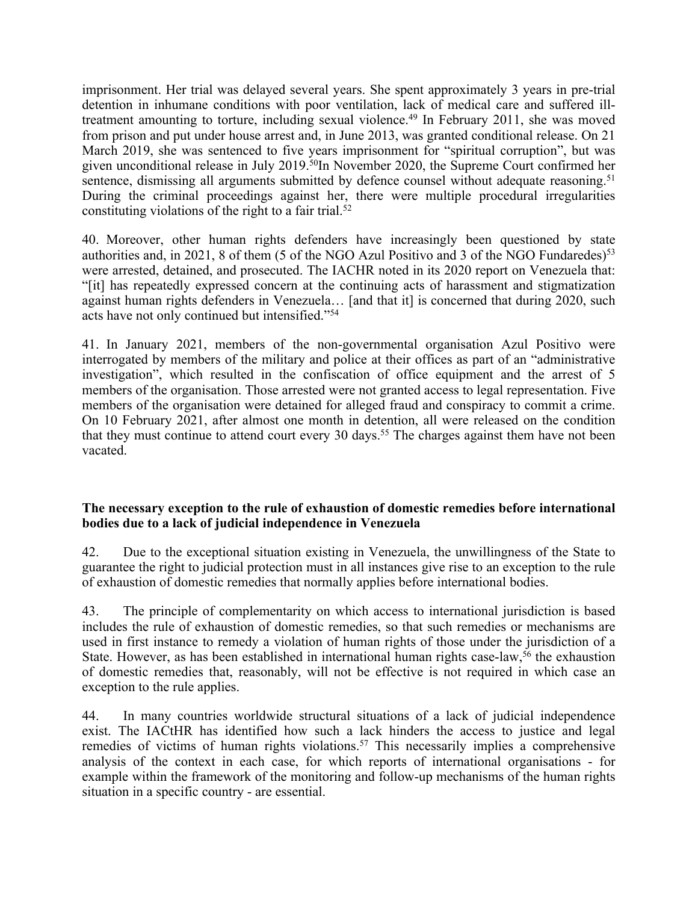imprisonment. Her trial was delayed several years. She spen<sup>t</sup> approximately 3 years in pre-trial detention in inhumane conditions with poor ventilation, lack of medical care and suffered illtreatment amounting to torture, including sexual violence. 49 In February 2011, she was moved from prison and pu<sup>t</sup> under house arrest and, in June 2013, was granted conditional release. On 21 March 2019, she was sentenced to five years imprisonment for "spiritual corruption", but was given unconditional release in July 2019. 50 In November 2020, the Supreme Court confirmed her sentence, dismissing all arguments submitted by defence counsel without adequate reasoning.<sup>51</sup> During the criminal proceedings against her, there were multiple procedural irregularities constituting violations of the right to <sup>a</sup> fair trial. 52

40. Moreover, other human rights defenders have increasingly been questioned by state authorities and, in 2021, 8 of them (5 of the NGO Azul Positivo and 3 of the NGO Fundaredes) 53 were arrested, detained, and prosecuted. The IACHR noted in its 2020 repor<sup>t</sup> on Venezuela that: "[it] has repeatedly expressed concern at the continuing acts of harassment and stigmatization against human rights defenders in Venezuela… [and that it] is concerned that during 2020, such acts have not only continued but intensified."<sup>54</sup>

41. In January 2021, members of the non-governmental organisation Azul Positivo were interrogated by members of the military and police at their offices as par<sup>t</sup> of an "administrative investigation", which resulted in the confiscation of office equipment and the arrest of 5 members of the organisation. Those arrested were not granted access to legal representation. Five members of the organisation were detained for alleged fraud and conspiracy to commit <sup>a</sup> crime. On 10 February 2021, after almost one month in detention, all were released on the condition that they must continue to attend court every 30 days. 55 The charges against them have not been vacated.

#### **The necessary exception to the rule of exhaustion of domestic remedies before international bodies due to <sup>a</sup> lack of judicial independence in Venezuela**

42. Due to the exceptional situation existing in Venezuela, the unwillingness of the State to guarantee the right to judicial protection must in all instances give rise to an exception to the rule of exhaustion of domestic remedies that normally applies before international bodies.

43. The principle of complementarity on which access to international jurisdiction is based includes the rule of exhaustion of domestic remedies, so that such remedies or mechanisms are used in first instance to remedy <sup>a</sup> violation of human rights of those under the jurisdiction of <sup>a</sup> State. However, as has been established in international human rights case-law,<sup>56</sup> the exhaustion of domestic remedies that, reasonably, will not be effective is not required in which case an exception to the rule applies.

44. In many countries worldwide structural situations of <sup>a</sup> lack of judicial independence exist. The IACtHR has identified how such <sup>a</sup> lack hinders the access to justice and legal remedies of victims of human rights violations. 57 This necessarily implies <sup>a</sup> comprehensive analysis of the context in each case, for which reports of international organisations - for example within the framework of the monitoring and follow-up mechanisms of the human rights situation in <sup>a</sup> specific country - are essential.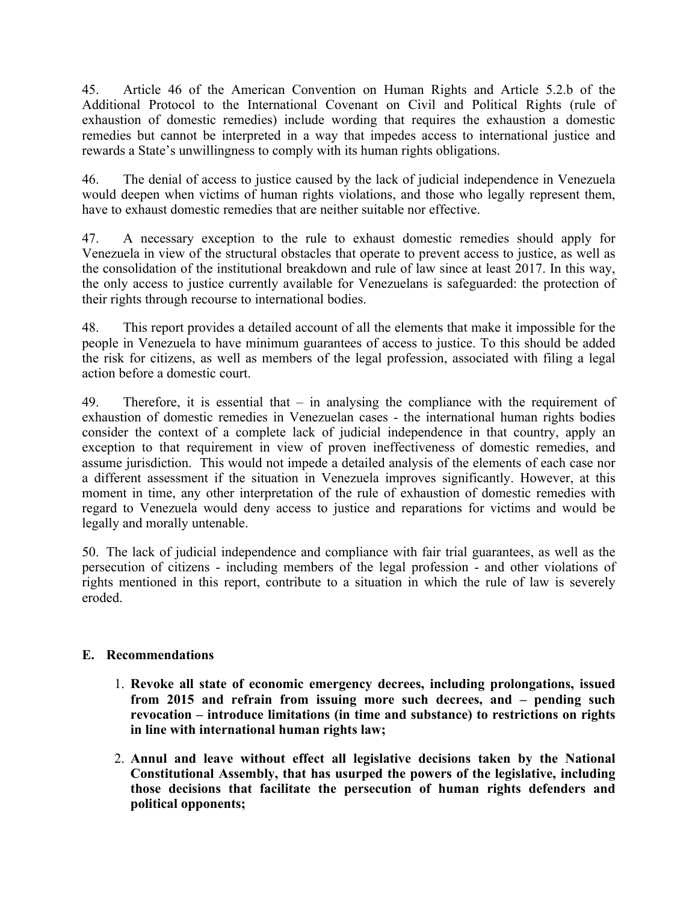45. Article 46 of the American Convention on Human Rights and Article 5.2.b of the Additional Protocol to the International Covenant on Civil and Political Rights (rule of exhaustion of domestic remedies) include wording that requires the exhaustion <sup>a</sup> domestic remedies but cannot be interpreted in <sup>a</sup> way that impedes access to international justice and rewards <sup>a</sup> State'<sup>s</sup> unwillingness to comply with its human rights obligations.

46. The denial of access to justice caused by the lack of judicial independence in Venezuela would deepen when victims of human rights violations, and those who legally represen<sup>t</sup> them, have to exhaust domestic remedies that are neither suitable nor effective.

47. A necessary exception to the rule to exhaust domestic remedies should apply for Venezuela in view of the structural obstacles that operate to preven<sup>t</sup> access to justice, as well as the consolidation of the institutional breakdown and rule of law since at least 2017. In this way, the only access to justice currently available for Venezuelans is safeguarded: the protection of their rights through recourse to international bodies.

48. This repor<sup>t</sup> provides <sup>a</sup> detailed account of all the elements that make it impossible for the people in Venezuela to have minimum guarantees of access to justice. To this should be added the risk for citizens, as well as members of the legal profession, associated with filing <sup>a</sup> legal action before <sup>a</sup> domestic court.

49. Therefore, it is essential that – in analysing the compliance with the requirement of exhaustion of domestic remedies in Venezuelan cases - the international human rights bodies consider the context of <sup>a</sup> complete lack of judicial independence in that country, apply an exception to that requirement in view of proven ineffectiveness of domestic remedies, and assume jurisdiction. This would not impede <sup>a</sup> detailed analysis of the elements of each case nor <sup>a</sup> different assessment if the situation in Venezuela improves significantly. However, at this moment in time, any other interpretation of the rule of exhaustion of domestic remedies with regard to Venezuela would deny access to justice and reparations for victims and would be legally and morally untenable.

50. The lack of judicial independence and compliance with fair trial guarantees, as well as the persecution of citizens - including members of the legal profession - and other violations of rights mentioned in this report, contribute to <sup>a</sup> situation in which the rule of law is severely eroded.

## **E. Recommendations**

- 1. **Revoke all state of economic emergency decrees, including prolongations, issued from 2015 and refrain from issuing more such decrees, and – pending such revocation – introduce limitations (in time and substance) to restrictions on rights in line with international human rights law;**
- 2. **Annul and leave without effect all legislative decisions taken by the National Constitutional Assembly, that has usurped the powers of the legislative, including those decisions that facilitate the persecution of human rights defenders and political opponents;**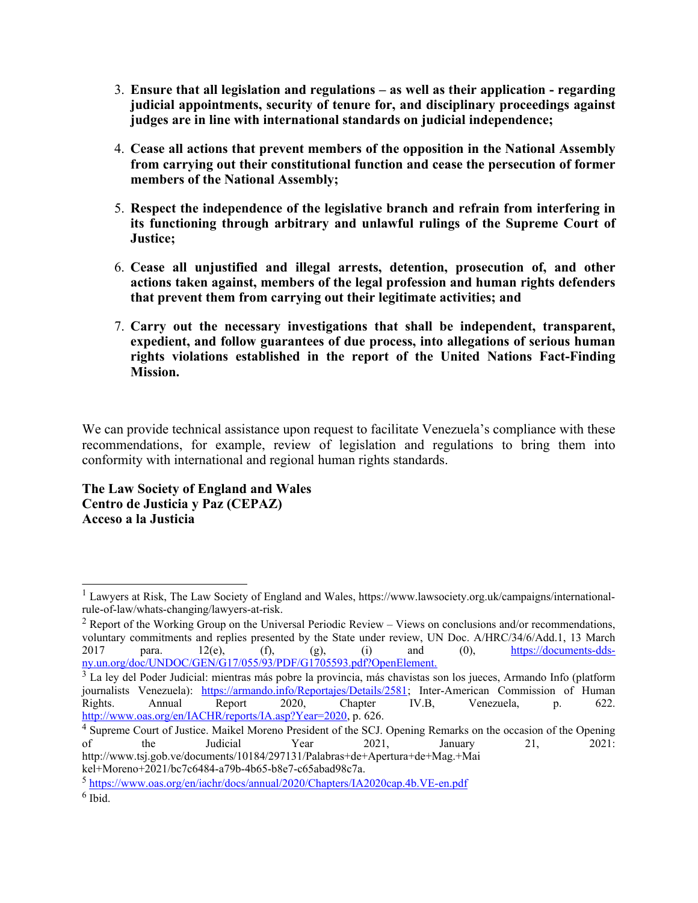- 3. **Ensure that all legislation and regulations – as well as their application - regarding judicial appointments, security of tenure for, and disciplinary proceedings against judges are in line with international standards on judicial independence;**
- 4. **Cease all actions that prevent members of the opposition in the National Assembly from carrying out their constitutional function and cease the persecution of former members of the National Assembly;**
- 5. **Respect the independence of the legislative branch and refrain from interfering in its functioning through arbitrary and unlawful rulings of the Supreme Court of Justice;**
- 6. **Cease all unjustified and illegal arrests, detention, prosecution of, and other actions taken against, members of the legal profession and human rights defenders that prevent them from carrying out their legitimate activities; and**
- 7. **Carry out the necessary investigations that shall be independent, transparent, expedient, and follow guarantees of due process, into allegations of serious human rights violations established in the report of the United Nations Fact-Finding Mission.**

We can provide technical assistance upon request to facilitate Venezuela's compliance with these recommendations, for example, review of legislation and regulations to bring them into conformity with international and regional human rights standards.

**The Law Society of England and Wales Centro de Justicia y Paz (CEPAZ) Acceso <sup>a</sup> la Justicia**

<sup>&</sup>lt;sup>1</sup> Lawyers at Risk, The Law Society of England and Wales, https://www.lawsociety.org.uk/campaigns/internationalrule-of-law/whats-changing/lawyers-at-risk.

<sup>&</sup>lt;sup>2</sup> Report of the Working Group on the Universal Periodic Review – Views on conclusions and/or recommendations, voluntary commitments and replies presented by the State under review, UN Doc. A/HRC/34/6/Add.1, 13 March 2017 para.  $12(e)$ ,  $(f)$ ,  $(g)$ ,  $(i)$  and  $(0)$ ,  $\frac{https://documents-dds-1/2017}{(g)q^2}$ ny.un.org/doc/UNDOC/GEN/G17/055/93/PDF/G1705593.pdf?OpenElement.

<sup>&</sup>lt;sup>3</sup> La ley del Poder Judicial: mientras más pobre la provincia, más chavistas son los jueces, Armando Info (platform journalists Venezuela): <https://armando.info/Reportajes/Details/2581>; Inter-American Commission of Human Rights. Annual Report 2020, Chapter IV.B, Venezuela, p. 622. <http://www.oas.org/en/IACHR/reports/IA.asp?Year=2020>, p. 626.

<sup>4</sup> Supreme Court of Justice. Maikel Moreno President of the SCJ. Opening Remarks on the occasion of the Opening of the Judicial Year 2021, January 21, 2021: http://www.tsj.gob.ve/documents/10184/297131/Palabras+de+Apertura+de+Mag.+Mai kel+Moreno+2021/bc7c6484-a79b-4b65-b8e7-c65abad98c7a.

<sup>&</sup>lt;sup>5</sup> <https://www.oas.org/en/iachr/docs/annual/2020/Chapters/IA2020cap.4b.VE-en.pdf> 6 Ibid.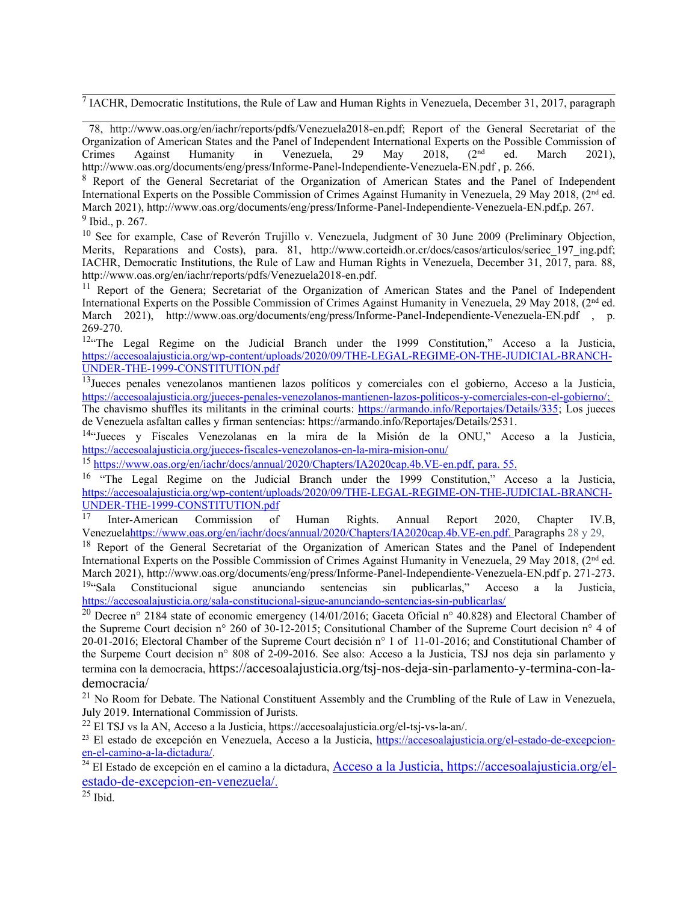<sup>7</sup> IACHR, Democratic Institutions, the Rule of Law and Human Rights in Venezuela, December 31, 2017, paragraph

78, http://www.oas.org/en/iachr/reports/pdfs/Venezuela2018-en.pdf; Report of the General Secretariat of the Organization of American States and the Panel of Independent International Experts on the Possible Commission of Crimes Against Humanity in Venezuela, 29 May 2018, (2nd ed. March 2021), http://www.oas.org/documents/eng/press/Informe-Panel-Independiente-Venezuela-EN.pdf , p. 266.

<sup>8</sup> Report of the General Secretariat of the Organization of American States and the Panel of Independent International Experts on the Possible Commission of Crimes Against Humanity in Venezuela, 29 May 2018, (2<sup>nd</sup> ed. March 2021), http://www.oas.org/documents/eng/press/Informe-Panel-Independiente-Venezuela-EN.pdf,p. 267. <sup>9</sup> Ibid., p. 267.

<sup>10</sup> See for example, Case of Reverón Trujillo v. Venezuela, Judgment of 30 June 2009 (Preliminary Objection, Merits, Reparations and Costs), para. 81, [http://www.corteidh.or.cr/docs/casos/articulos/seriec\\_197\\_ing.pdf](http://www.corteidh.or.cr/docs/casos/articulos/seriec_197_ing.pdf); IACHR, Democratic Institutions, the Rule of Law and Human Rights in Venezuela, December 31, 2017, para. 88, http://www.oas.org/en/iachr/reports/pdfs/Venezuela2018-en.pdf.

<sup>11</sup> Report of the Genera; Secretariat of the Organization of American States and the Panel of Independent International Experts on the Possible Commission of Crimes Against Humanity in Venezuela, 29 May 2018, (2<sup>nd</sup> ed. March 2021), http://www.oas.org/documents/eng/press/Informe-Panel-Independiente-Venezuela-EN.pdf , p. 269-270.

<sup>12</sup> The Legal Regime on the Judicial Branch under the 1999 Constitution," Acceso a la Justicia, [https://accesoalajusticia.org/wp-content/uploads/2020/09/THE-LEGAL-REGIME-ON-THE-JUDICIAL-BRANCH-](https://accesoalajusticia.org/wp-content/uploads/2020/09/THE-LEGAL-REGIME-ON-THE-JUDICIAL-BRANCH-UNDER-THE-1999-CONSTITUTION.pdf)[UNDER-THE-1999-CONSTITUTION.pdf](https://accesoalajusticia.org/wp-content/uploads/2020/09/THE-LEGAL-REGIME-ON-THE-JUDICIAL-BRANCH-UNDER-THE-1999-CONSTITUTION.pdf)

<sup>13</sup>Jueces penales venezolanos mantienen lazos políticos y comerciales con el gobierno, Acceso a la Justicia, <https://accesoalajusticia.org/jueces-penales-venezolanos-mantienen-lazos-politicos-y-comerciales-con-el-gobierno/>; The chavismo shuffles its militants in the criminal courts: <https://armando.info/Reportajes/Details/335>; Los jueces de Venezuela asfaltan calles y firman sentencias: <https://armando.info/Reportajes/Details/2531>.

<sup>14</sup>"Jueces y Fiscales Venezolanas en la mira de la Misión de la ONU," Acceso a la Justicia, <https://accesoalajusticia.org/jueces-fiscales-venezolanos-en-la-mira-mision-onu/>

<sup>15</sup> <https://www.oas.org/en/iachr/docs/annual/2020/Chapters/IA2020cap.4b.VE-en.pdf>, para. 55.

<sup>16</sup> "The Legal Regime on the Judicial Branch under the 1999 Constitution," Acceso a la Justicia, [https://accesoalajusticia.org/wp-content/uploads/2020/09/THE-LEGAL-REGIME-ON-THE-JUDICIAL-BRANCH-](https://accesoalajusticia.org/wp-content/uploads/2020/09/THE-LEGAL-REGIME-ON-THE-JUDICIAL-BRANCH-UNDER-THE-1999-CONSTITUTION.pdf)[UNDER-THE-1999-CONSTITUTION.pdf](https://accesoalajusticia.org/wp-content/uploads/2020/09/THE-LEGAL-REGIME-ON-THE-JUDICIAL-BRANCH-UNDER-THE-1999-CONSTITUTION.pdf)

17 Inter-American Commission of Human Rights. Annual Report 2020, Chapter IV.B, Venezuel[ahttps://www.oas.org/en/iachr/docs/annual/2020/Chapters/IA2020cap.4b.VE-en.pdf](https://www.oas.org/en/iachr/docs/annual/2020/Chapters/IA2020cap.4b.VE-en.pdf). Paragraphs 28 y 29,

<sup>18</sup> Report of the General Secretariat of the Organization of American States and the Panel of Independent International Experts on the Possible Commission of Crimes Against Humanity in Venezuela, 29 May 2018, (2<sup>nd</sup> ed. March 2021), http://www.oas.org/documents/eng/press/Informe-Panel-Independiente-Venezuela-EN.pdf p. 271-273. <sup>19</sup>"Sala Constitucional sigue anunciando sentencias sin publicarlas," Acceso a la Justicia, <https://accesoalajusticia.org/sala-constitucional-sigue-anunciando-sentencias-sin-publicarlas/>

<sup>20</sup> Decree n° 2184 state of economic emergency (14/01/2016; Gaceta Oficial n° 40.828) and Electoral Chamber of the Supreme Court decision <sup>n</sup>° 260 of 30-12-2015; Consitutional Chamber of the Supreme Court decision <sup>n</sup>° 4 of 20-01-2016; Electoral Chamber of the Supreme Court decisión <sup>n</sup>° 1 of 11-01-2016; and Constitutional Chamber of the Surpeme Court decision <sup>n</sup>° 808 of 2-09-2016. See also: Acceso <sup>a</sup> la Justicia, TSJ nos deja sin parlamento y termina con la democracia, [https://accesoalajusticia.org/tsj-nos-deja-sin-parlamento-y-termina-con-la](https://accesoalajusticia.org/tsj-nos-deja-sin-parlamento-y-termina-con-la-democracia/)[democracia/](https://accesoalajusticia.org/tsj-nos-deja-sin-parlamento-y-termina-con-la-democracia/)

<sup>21</sup> No Room for Debate. The National Constituent Assembly and the Crumbling of the Rule of Law in Venezuela, July 2019. International Commission of Jurists.

<sup>22</sup> El TSJ vs la AN, Acceso a la Justicia, https://accesoalajusticia.org/el-tsj-vs-la-an/.

<sup>23</sup> El estado de excepción en Venezuela, Acceso a la Justicia, [https://accesoalajusticia.org/el-estado-de-excepcion-](https://accesoalajusticia.org/el-estado-de-excepcion-en-el-camino-a-la-dictadura/)

[en-el-camino-a-la-dictadura/](https://accesoalajusticia.org/el-estado-de-excepcion-en-el-camino-a-la-dictadura/).<br><sup>24</sup> El Estado de excepción en el camino a la dictadura, <u>Acceso a la Justicia, https://accesoalajusticia.org/el-</u> estado-de-excepcion-en-venezuela/.

 $^{25}$  Ibid.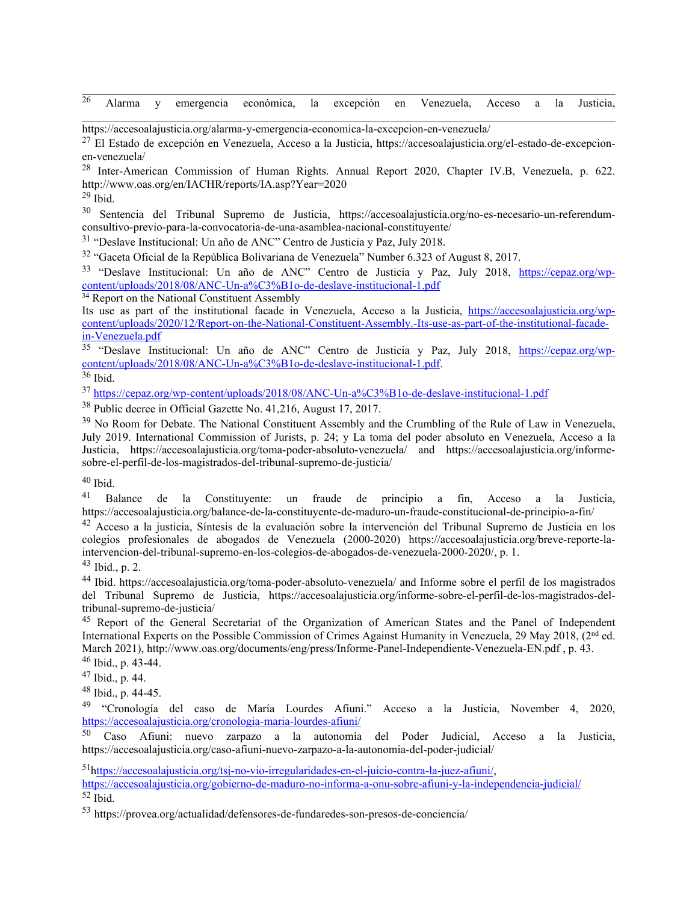26 Alarma y emergencia económica, la excepción en Venezuela, Acceso <sup>a</sup> la Justicia,

https://accesoalajusticia.org/alarma-y-emergencia-economica-la-excepcion-en-venezuela/

<sup>27</sup> El Estado de excepción en Venezuela, Acceso a la Justicia, https://accesoalajusticia.org/el-estado-de-excepcionen-venezuela/

<sup>28</sup> Inter-American Commission of Human Rights. Annual Report 2020, Chapter IV.B, Venezuela, p. 622. http://www.oas.org/en/IACHR/reports/IA.asp?Year=2020

<sup>29</sup> Ibid.

<sup>30</sup> Sentencia del Tribunal Supremo de Justicia, https://accesoalajusticia.org/no-es-necesario-un-referendumconsultivo-previo-para-la-convocatoria-de-una-asamblea-nacional-constituyente/

<sup>31</sup> "Deslave Institucional: Un año de ANC" Centro de Justicia y Paz, July 2018.

<sup>32</sup> "Gaceta Oficial de la República Bolivariana de Venezuela" Number 6.323 of August 8, 2017.

<sup>33</sup> "Deslave Institucional: Un año de ANC" Centro de Justicia y Paz, July 2018, [https://cepaz.org/wp](https://cepaz.org/wp-content/uploads/2018/08/ANC-Un-a%C3%B1o-de-deslave-institucional-1.pdf)[content/uploads/2018/08/ANC-Un-a%C3%B1o-de-deslave-institucional-1.pdf](https://cepaz.org/wp-content/uploads/2018/08/ANC-Un-a%C3%B1o-de-deslave-institucional-1.pdf)

 $34$  Report on the National Constituent Assembly

Its use as part of the institutional facade in Venezuela, Acceso a la Justicia, [https://accesoalajusticia.org/wp](https://accesoalajusticia.org/wp-content/uploads/2020/12/Report-on-the-National-Constituent-Assembly.-Its-use-as-part-of-the-institutional-facade-in-Venezuela.pdf)[content/uploads/2020/12/Report-on-the-National-Constituent-Assembly.-Its-use-as-part-of-the-institutional-facade](https://accesoalajusticia.org/wp-content/uploads/2020/12/Report-on-the-National-Constituent-Assembly.-Its-use-as-part-of-the-institutional-facade-in-Venezuela.pdf)[in-Venezuela.pdf](https://accesoalajusticia.org/wp-content/uploads/2020/12/Report-on-the-National-Constituent-Assembly.-Its-use-as-part-of-the-institutional-facade-in-Venezuela.pdf)

<sup>35</sup> "Deslave Institucional: Un año de ANC" Centro de Justicia y Paz, July 2018, [https://cepaz.org/wp](https://cepaz.org/wp-content/uploads/2018/08/ANC-Un-a%C3%B1o-de-deslave-institucional-1.pdf)[content/uploads/2018/08/ANC-Un-a%C3%B1o-de-deslave-institucional-1.pdf](https://cepaz.org/wp-content/uploads/2018/08/ANC-Un-a%C3%B1o-de-deslave-institucional-1.pdf).

<sup>36</sup> Ibid.

<sup>37</sup> <https://cepaz.org/wp-content/uploads/2018/08/ANC-Un-a%C3%B1o-de-deslave-institucional-1.pdf>

<sup>38</sup> Public decree in Official Gazette No. 41,216, August 17, 2017.

<sup>39</sup> No Room for Debate. The National Constituent Assembly and the Crumbling of the Rule of Law in Venezuela, July 2019. International Commission of Jurists, p. 24; y La toma del poder absoluto en Venezuela, Acceso <sup>a</sup> la Justicia, https://accesoalajusticia.org/toma-poder-absoluto-venezuela/ and https://accesoalajusticia.org/informesobre-el-perfil-de-los-magistrados-del-tribunal-supremo-de-justicia/

<sup>40</sup> Ibid.

<sup>41</sup> Balance de la Constituyente: un fraude de principio a fin, Acceso a la Justicia, https://accesoalajusticia.org/balance-de-la-constituyente-de-maduro-un-fraude-constitucional-de-principio-a-fin/

<sup>42</sup> Acceso a la justicia, Síntesis de la evaluación sobre la intervención del Tribunal Supremo de Justicia en los colegios profesionales de abogados de Venezuela (2000-2020) [https://accesoalajusticia.org/breve-reporte-la](https://accesoalajusticia.org/breve-reporte-la-intervencion-del-tribunal-supremo-en-los-colegios-de-abogados-de-venezuela-2000-2020/)[intervencion-del-tribunal-supremo-en-los-colegios-de-abogados-de-venezuela-2000-2020/](https://accesoalajusticia.org/breve-reporte-la-intervencion-del-tribunal-supremo-en-los-colegios-de-abogados-de-venezuela-2000-2020/), p. 1.

43 Ibid., p. 2.

<sup>44</sup> Ibid. https://accesoalajusticia.org/toma-poder-absoluto-venezuela/ and Informe sobre el perfil de los magistrados del Tribunal Supremo de Justicia, https://accesoalajusticia.org/informe-sobre-el-perfil-de-los-magistrados-deltribunal-supremo-de-justicia/

<sup>45</sup> Report of the General Secretariat of the Organization of American States and the Panel of Independent International Experts on the Possible Commission of Crimes Against Humanity in Venezuela, 29 May 2018, (2<sup>nd</sup> ed. March 2021), http://www.oas.org/documents/eng/press/Informe-Panel-Independiente-Venezuela-EN.pdf , p. 43. <sup>46</sup> Ibid., p. 43-44.

<sup>47</sup> Ibid., p. 44.

<sup>48</sup> Ibid., p. 44-45.

<sup>49</sup> "Cronología del caso de María Lourdes Afiuni." Acceso a la Justicia, November 4, 2020, <https://accesoalajusticia.org/cronologia-maria-lourdes-afiuni/>

<sup>50</sup> Caso Afiuni: nuevo zarpazo a la autonomía del Poder Judicial, Acceso a la Justicia, https://accesoalajusticia.org/caso-afiuni-nuevo-zarpazo-a-la-autonomia-del-poder-judicial/

51 h[ttps://accesoalajusticia.org/tsj-no-vio-irregularidades-en-el-juicio-contra-la-juez-afiuni/](https://accesoalajusticia.org/tsj-no-vio-irregularidades-en-el-juicio-contra-la-juez-afiuni/), <https://accesoalajusticia.org/gobierno-de-maduro-no-informa-a-onu-sobre-afiuni-y-la-independencia-judicial/> 52 Ibid.

53 https://provea.org/actualidad/defensores-de-fundaredes-son-presos-de-conciencia/